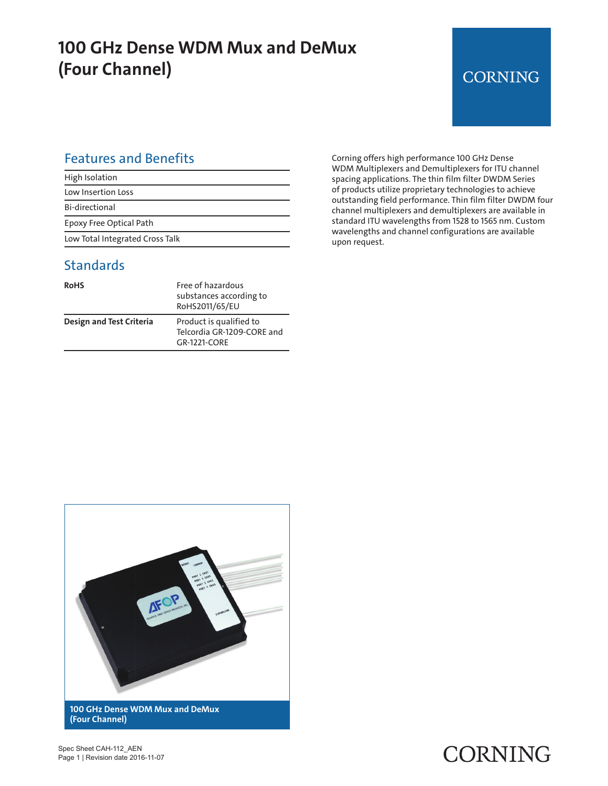### **100 GHz Dense WDM Mux and DeMux (Four Channel)**

#### **CORNING**

#### Features and Benefits

| High Isolation                  |
|---------------------------------|
| Low Insertion Loss              |
| Bi-directional                  |
| Epoxy Free Optical Path         |
| Low Total Integrated Cross Talk |

#### **Standards**

| <b>RoHS</b>                     | Free of hazardous<br>substances according to<br>RoHS2011/65/EU        |
|---------------------------------|-----------------------------------------------------------------------|
| <b>Design and Test Criteria</b> | Product is qualified to<br>Telcordia GR-1209-CORE and<br>GR-1221-CORF |

Corning offers high performance 100 GHz Dense WDM Multiplexers and Demultiplexers for ITU channel spacing applications. The thin film filter DWDM Series of products utilize proprietary technologies to achieve outstanding field performance. Thin film filter DWDM four channel multiplexers and demultiplexers are available in standard ITU wavelengths from 1528 to 1565 nm. Custom wavelengths and channel configurations are available upon request.



Spec Sheet CAH-112\_AEN Page 1 | Revision date 2016-11-07

# CORNING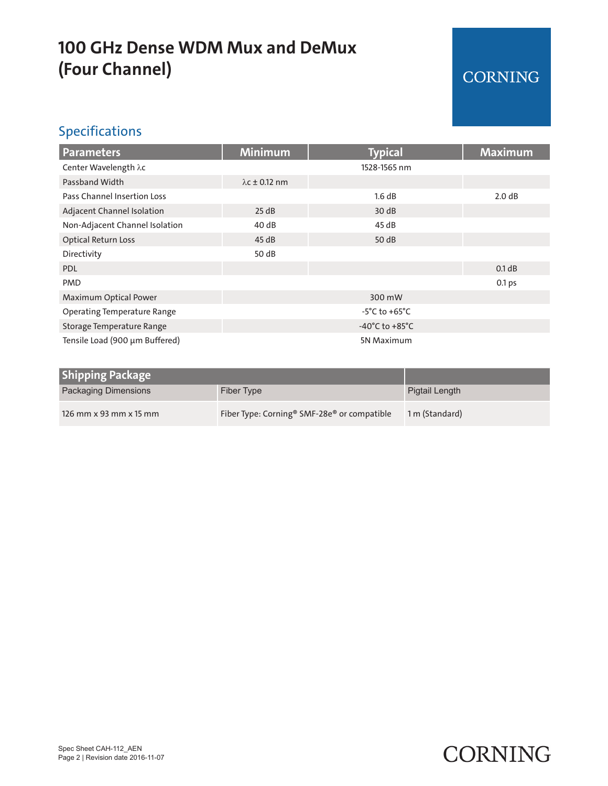## **100 GHz Dense WDM Mux and DeMux (Four Channel)**

### CORNING

#### Specifications

| <b>Parameters</b>                  | <b>Minimum</b>                     | <b>Typical</b> | <b>Maximum</b> |
|------------------------------------|------------------------------------|----------------|----------------|
| Center Wavelength $\lambda c$      |                                    | 1528-1565 nm   |                |
| Passband Width                     | $\lambda$ c ± 0.12 nm              |                |                |
| Pass Channel Insertion Loss        |                                    | 1.6 dB         | 2.0 dB         |
| Adjacent Channel Isolation         | 25 dB                              | 30dB           |                |
| Non-Adjacent Channel Isolation     | 40dB                               | 45 dB          |                |
| <b>Optical Return Loss</b>         | 45dB                               | 50 dB          |                |
| Directivity                        | 50 dB                              |                |                |
| <b>PDL</b>                         |                                    |                | 0.1 dB         |
| <b>PMD</b>                         |                                    |                | 0.1 ps         |
| Maximum Optical Power              | 300 mW                             |                |                |
| <b>Operating Temperature Range</b> | $-5^{\circ}$ C to $+65^{\circ}$ C  |                |                |
| Storage Temperature Range          | $-40^{\circ}$ C to $+85^{\circ}$ C |                |                |
| Tensile Load (900 µm Buffered)     | <b>5N Maximum</b>                  |                |                |

| <b>Shipping Package</b>     |                                                                     |                |
|-----------------------------|---------------------------------------------------------------------|----------------|
| <b>Packaging Dimensions</b> | Fiber Type                                                          | Pigtail Length |
| 126 mm x 93 mm x 15 mm      | Fiber Type: Corning <sup>®</sup> SMF-28e <sup>®</sup> or compatible | 1 m (Standard) |